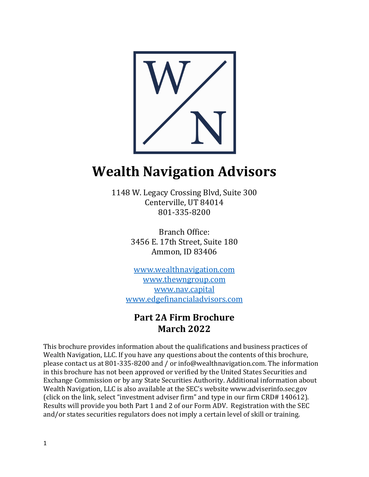

# **Wealth Navigation Advisors**

1148 W. Legacy Crossing Blvd, Suite 300 Centerville, UT 84014 801-335-8200

> Branch Office: 3456 E. 17th Street, Suite 180 Ammon, ID 83406

[www.wealthnavigation.com](http://www.wealthnavigation.com/) [www.thewngroup.com](http://www.thewngroup.com/) [www.nav.capital](http://www.nav.capital/) [www.edgefinancialadvisors.com](http://www.edgefinancialadvisors.com/)

# **Part 2A Firm Brochure March 2022**

This brochure provides information about the qualifications and business practices of Wealth Navigation, LLC. If you have any questions about the contents of this brochure, please contact us at 801-335-8200 and / or info@wealthnavigation.com. The information in this brochure has not been approved or verified by the United States Securities and Exchange Commission or by any State Securities Authority. Additional information about Wealth Navigation, LLC is also available at the SEC's website www.adviserinfo.sec.gov (click on the link, select "investment adviser firm" and type in our firm CRD# 140612). Results will provide you both Part 1 and 2 of our Form ADV. Registration with the SEC and/or states securities regulators does not imply a certain level of skill or training.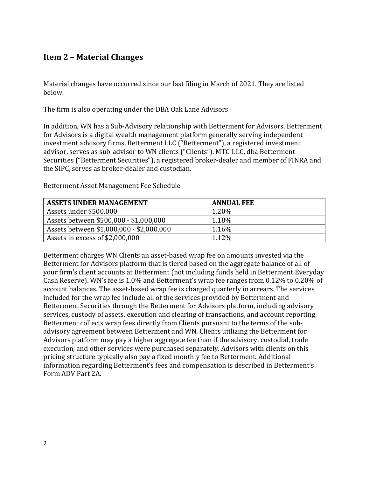# <span id="page-1-0"></span>**Item 2 – Material Changes**

Material changes have occurred since our last filing in March of 2021. They are listed below:

The firm is also operating under the DBA Oak Lane Advisors

In addition, WN has a Sub-Advisory relationship with Betterment for Advisors. Betterment for Advisors is a digital wealth management platform generally serving independent investment advisory firms. Betterment LLC ("Betterment"), a registered investment advisor, serves as sub-advisor to WN clients ("Clients"). MTG LLC, dba Betterment Securities ("Betterment Securities"), a registered broker-dealer and member of FINRA and the SIPC, serves as broker-dealer and custodian.

| <b>ASSETS UNDER MANAGEMENT</b>           | <b>ANNUAL FEE</b> |
|------------------------------------------|-------------------|
| Assets under \$500,000                   | 1.20%             |
| Assets between \$500,000 - \$1,000,000   | 1.18%             |
| Assets between \$1,000,000 - \$2,000,000 | 1.16%             |
| Assets in excess of \$2,000,000          | 1.12%             |

Betterment Asset Management Fee Schedule

Betterment charges WN Clients an asset-based wrap fee on amounts invested via the Betterment for Advisors platform that is tiered based on the aggregate balance of all of your firm's client accounts at Betterment (not including funds held in Betterment Everyday Cash Reserve). WN's fee is 1.0% and Betterment's wrap fee ranges from 0.12% to 0.20% of account balances. The asset-based wrap fee is charged quarterly in arrears. The services included for the wrap fee include all of the services provided by Betterment and Betterment Securities through the Betterment for Advisors platform, including advisory services, custody of assets, execution and clearing of transactions, and account reporting. Betterment collects wrap fees directly from Clients pursuant to the terms of the subadvisory agreement between Betterment and WN. Clients utilizing the Betterment for Advisors platform may pay a higher aggregate fee than if the advisory, custodial, trade execution, and other services were purchased separately. Advisors with clients on this pricing structure typically also pay a fixed monthly fee to Betterment. Additional information regarding Betterment's fees and compensation is described in Betterment's Form ADV Part 2A.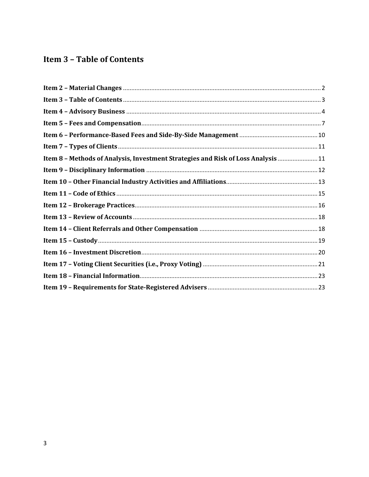# <span id="page-2-0"></span>**Item 3 - Table of Contents**

| Item 8 - Methods of Analysis, Investment Strategies and Risk of Loss Analysis  11 |  |
|-----------------------------------------------------------------------------------|--|
|                                                                                   |  |
|                                                                                   |  |
|                                                                                   |  |
|                                                                                   |  |
|                                                                                   |  |
|                                                                                   |  |
|                                                                                   |  |
|                                                                                   |  |
|                                                                                   |  |
|                                                                                   |  |
|                                                                                   |  |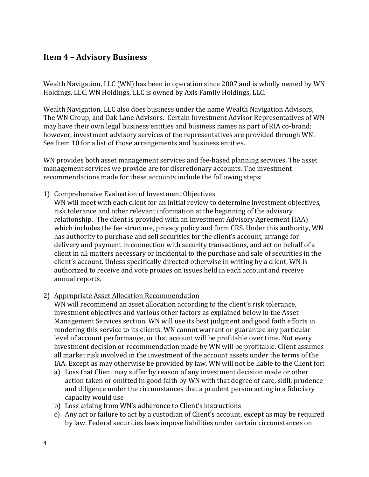# <span id="page-3-0"></span>**Item 4 – Advisory Business**

Wealth Navigation, LLC (WN) has been in operation since 2007 and is wholly owned by WN Holdings, LLC. WN Holdings, LLC is owned by Axis Family Holdings, LLC.

Wealth Navigation, LLC also does business under the name Wealth Navigation Advisors, The WN Group, and Oak Lane Advisors. Certain Investment Advisor Representatives of WN may have their own legal business entities and business names as part of RIA co-brand; however, investment advisory services of the representatives are provided through WN. See Item 10 for a list of those arrangements and business entities.

WN provides both asset management services and fee-based planning services. The asset management services we provide are for discretionary accounts. The investment recommendations made for these accounts include the following steps:

1) Comprehensive Evaluation of Investment Objectives

WN will meet with each client for an initial review to determine investment objectives, risk tolerance and other relevant information at the beginning of the advisory relationship. The client is provided with an Investment Advisory Agreement (IAA) which includes the fee structure, privacy policy and form CRS. Under this authority, WN has authority to purchase and sell securities for the client's account, arrange for delivery and payment in connection with security transactions, and act on behalf of a client in all matters necessary or incidental to the purchase and sale of securities in the client's account. Unless specifically directed otherwise in writing by a client, WN is authorized to receive and vote proxies on issues held in each account and receive annual reports.

2) Appropriate Asset Allocation Recommendation

WN will recommend an asset allocation according to the client's risk tolerance, investment objectives and various other factors as explained below in the Asset Management Services section. WN will use its best judgment and good faith efforts in rendering this service to its clients. WN cannot warrant or guarantee any particular level of account performance, or that account will be profitable over time. Not every investment decision or recommendation made by WN will be profitable. Client assumes all market risk involved in the investment of the account assets under the terms of the IAA. Except as may otherwise be provided by law, WN will not be liable to the Client for:

- a) Loss that Client may suffer by reason of any investment decision made or other action taken or omitted in good faith by WN with that degree of care, skill, prudence and diligence under the circumstances that a prudent person acting in a fiduciary capacity would use
- b) Loss arising from WN's adherence to Client's instructions
- c) Any act or failure to act by a custodian of Client's account, except as may be required by law. Federal securities laws impose liabilities under certain circumstances on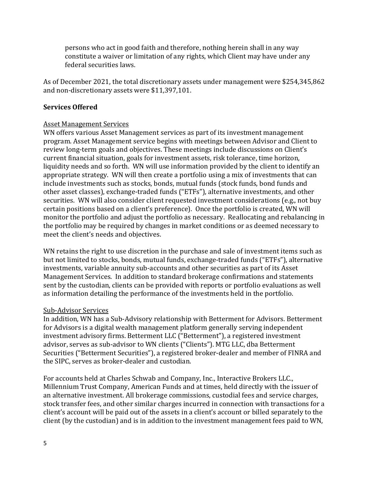persons who act in good faith and therefore, nothing herein shall in any way constitute a waiver or limitation of any rights, which Client may have under any federal securities laws.

As of December 2021, the total discretionary assets under management were \$254,345,862 and non-discretionary assets were \$11,397,101.

#### **Services Offered**

#### Asset Management Services

WN offers various Asset Management services as part of its investment management program. Asset Management service begins with meetings between Advisor and Client to review long-term goals and objectives. These meetings include discussions on Client's current financial situation, goals for investment assets, risk tolerance, time horizon, liquidity needs and so forth. WN will use information provided by the client to identify an appropriate strategy. WN will then create a portfolio using a mix of investments that can include investments such as stocks, bonds, mutual funds (stock funds, bond funds and other asset classes), exchange-traded funds ("ETFs"), alternative investments, and other securities. WN will also consider client requested investment considerations (e.g., not buy certain positions based on a client's preference). Once the portfolio is created, WN will monitor the portfolio and adjust the portfolio as necessary. Reallocating and rebalancing in the portfolio may be required by changes in market conditions or as deemed necessary to meet the client's needs and objectives.

WN retains the right to use discretion in the purchase and sale of investment items such as but not limited to stocks, bonds, mutual funds, exchange-traded funds ("ETFs"), alternative investments, variable annuity sub-accounts and other securities as part of its Asset Management Services. In addition to standard brokerage confirmations and statements sent by the custodian, clients can be provided with reports or portfolio evaluations as well as information detailing the performance of the investments held in the portfolio.

#### Sub-Advisor Services

In addition, WN has a Sub-Advisory relationship with Betterment for Advisors. Betterment for Advisors is a digital wealth management platform generally serving independent investment advisory firms. Betterment LLC ("Betterment"), a registered investment advisor, serves as sub-advisor to WN clients ("Clients"). MTG LLC, dba Betterment Securities ("Betterment Securities"), a registered broker-dealer and member of FINRA and the SIPC, serves as broker-dealer and custodian.

For accounts held at Charles Schwab and Company, Inc., Interactive Brokers LLC., Millennium Trust Company, American Funds and at times, held directly with the issuer of an alternative investment. All brokerage commissions, custodial fees and service charges, stock transfer fees, and other similar charges incurred in connection with transactions for a client's account will be paid out of the assets in a client's account or billed separately to the client (by the custodian) and is in addition to the investment management fees paid to WN,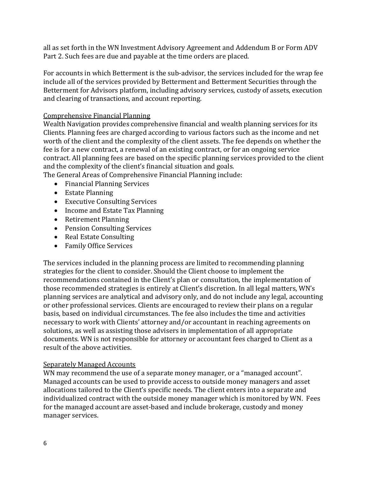all as set forth in the WN Investment Advisory Agreement and Addendum B or Form ADV Part 2. Such fees are due and payable at the time orders are placed.

For accounts in which Betterment is the sub-advisor, the services included for the wrap fee include all of the services provided by Betterment and Betterment Securities through the Betterment for Advisors platform, including advisory services, custody of assets, execution and clearing of transactions, and account reporting.

#### Comprehensive Financial Planning

Wealth Navigation provides comprehensive financial and wealth planning services for its Clients. Planning fees are charged according to various factors such as the income and net worth of the client and the complexity of the client assets. The fee depends on whether the fee is for a new contract, a renewal of an existing contract, or for an ongoing service contract. All planning fees are based on the specific planning services provided to the client and the complexity of the client's financial situation and goals.

The General Areas of Comprehensive Financial Planning include:

- Financial Planning Services
- Estate Planning
- Executive Consulting Services
- Income and Estate Tax Planning
- Retirement Planning
- Pension Consulting Services
- Real Estate Consulting
- Family Office Services

The services included in the planning process are limited to recommending planning strategies for the client to consider. Should the Client choose to implement the recommendations contained in the Client's plan or consultation, the implementation of those recommended strategies is entirely at Client's discretion. In all legal matters, WN's planning services are analytical and advisory only, and do not include any legal, accounting or other professional services. Clients are encouraged to review their plans on a regular basis, based on individual circumstances. The fee also includes the time and activities necessary to work with Clients' attorney and/or accountant in reaching agreements on solutions, as well as assisting those advisers in implementation of all appropriate documents. WN is not responsible for attorney or accountant fees charged to Client as a result of the above activities.

#### Separately Managed Accounts

WN may recommend the use of a separate money manager, or a "managed account". Managed accounts can be used to provide access to outside money managers and asset allocations tailored to the Client's specific needs. The client enters into a separate and individualized contract with the outside money manager which is monitored by WN. Fees for the managed account are asset-based and include brokerage, custody and money manager services.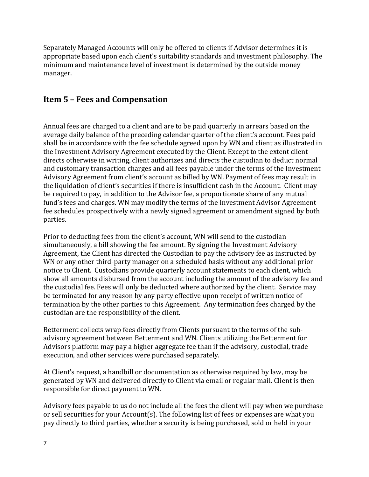Separately Managed Accounts will only be offered to clients if Advisor determines it is appropriate based upon each client's suitability standards and investment philosophy. The minimum and maintenance level of investment is determined by the outside money manager.

# <span id="page-6-0"></span>**Item 5 – Fees and Compensation**

Annual fees are charged to a client and are to be paid quarterly in arrears based on the average daily balance of the preceding calendar quarter of the client's account. Fees paid shall be in accordance with the fee schedule agreed upon by WN and client as illustrated in the Investment Advisory Agreement executed by the Client. Except to the extent client directs otherwise in writing, client authorizes and directs the custodian to deduct normal and customary transaction charges and all fees payable under the terms of the Investment Advisory Agreement from client's account as billed by WN. Payment of fees may result in the liquidation of client's securities if there is insufficient cash in the Account. Client may be required to pay, in addition to the Advisor fee, a proportionate share of any mutual fund's fees and charges. WN may modify the terms of the Investment Advisor Agreement fee schedules prospectively with a newly signed agreement or amendment signed by both parties.

Prior to deducting fees from the client's account, WN will send to the custodian simultaneously, a bill showing the fee amount. By signing the Investment Advisory Agreement, the Client has directed the Custodian to pay the advisory fee as instructed by WN or any other third-party manager on a scheduled basis without any additional prior notice to Client. Custodians provide quarterly account statements to each client, which show all amounts disbursed from the account including the amount of the advisory fee and the custodial fee. Fees will only be deducted where authorized by the client. Service may be terminated for any reason by any party effective upon receipt of written notice of termination by the other parties to this Agreement. Any termination fees charged by the custodian are the responsibility of the client.

Betterment collects wrap fees directly from Clients pursuant to the terms of the subadvisory agreement between Betterment and WN. Clients utilizing the Betterment for Advisors platform may pay a higher aggregate fee than if the advisory, custodial, trade execution, and other services were purchased separately.

At Client's request, a handbill or documentation as otherwise required by law, may be generated by WN and delivered directly to Client via email or regular mail. Client is then responsible for direct payment to WN.

Advisory fees payable to us do not include all the fees the client will pay when we purchase or sell securities for your Account(s). The following list of fees or expenses are what you pay directly to third parties, whether a security is being purchased, sold or held in your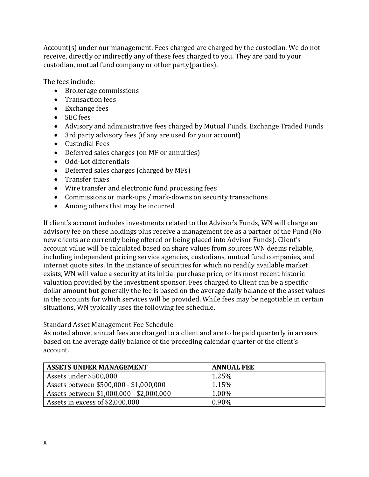Account(s) under our management. Fees charged are charged by the custodian. We do not receive, directly or indirectly any of these fees charged to you. They are paid to your custodian, mutual fund company or other party(parties).

The fees include:

- Brokerage commissions
- Transaction fees
- Exchange fees
- SEC fees
- Advisory and administrative fees charged by Mutual Funds, Exchange Traded Funds
- 3rd party advisory fees (if any are used for your account)
- Custodial Fees
- Deferred sales charges (on MF or annuities)
- Odd-Lot differentials
- Deferred sales charges (charged by MFs)
- Transfer taxes
- Wire transfer and electronic fund processing fees
- Commissions or mark-ups / mark-downs on security transactions
- Among others that may be incurred

If client's account includes investments related to the Advisor's Funds, WN will charge an advisory fee on these holdings plus receive a management fee as a partner of the Fund (No new clients are currently being offered or being placed into Advisor Funds). Client's account value will be calculated based on share values from sources WN deems reliable, including independent pricing service agencies, custodians, mutual fund companies, and internet quote sites. In the instance of securities for which no readily available market exists, WN will value a security at its initial purchase price, or its most recent historic valuation provided by the investment sponsor. Fees charged to Client can be a specific dollar amount but generally the fee is based on the average daily balance of the asset values in the accounts for which services will be provided. While fees may be negotiable in certain situations, WN typically uses the following fee schedule.

#### Standard Asset Management Fee Schedule

As noted above, annual fees are charged to a client and are to be paid quarterly in arrears based on the average daily balance of the preceding calendar quarter of the client's account.

| <b>ASSETS UNDER MANAGEMENT</b>           | <b>ANNUAL FEE</b> |
|------------------------------------------|-------------------|
| Assets under \$500,000                   | 1.25%             |
| Assets between \$500,000 - \$1,000,000   | 1.15%             |
| Assets between \$1,000,000 - \$2,000,000 | 1.00%             |
| Assets in excess of \$2,000,000          | 0.90%             |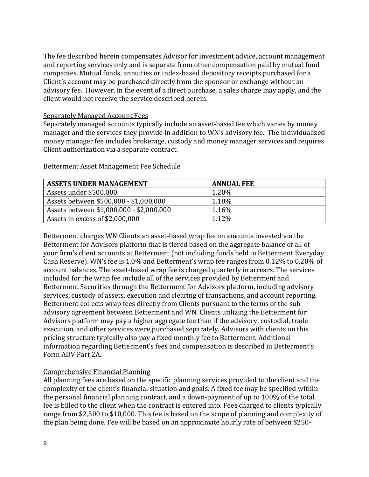The fee described herein compensates Advisor for investment advice, account management and reporting services only and is separate from other compensation paid by mutual fund companies. Mutual funds, annuities or index-based depository receipts purchased for a Client's account may be purchased directly from the sponsor or exchange without an advisory fee. However, in the event of a direct purchase, a sales charge may apply, and the client would not receive the service described herein.

#### Separately Managed Account Fees

Separately managed accounts typically include an asset-based fee which varies by money manager and the services they provide in addition to WN's advisory fee. The individualized money manager fee includes brokerage, custody and money manager services and requires Client authorization via a separate contract.

| <b>ASSETS UNDER MANAGEMENT</b>           | <b>ANNUAL FEE</b> |
|------------------------------------------|-------------------|
| Assets under \$500,000                   | 1.20%             |
| Assets between \$500,000 - \$1,000,000   | 1.18%             |
| Assets between \$1,000,000 - \$2,000,000 | 1.16%             |
| Assets in excess of \$2,000,000          | 1.12%             |

Betterment Asset Management Fee Schedule

Betterment charges WN Clients an asset-based wrap fee on amounts invested via the Betterment for Advisors platform that is tiered based on the aggregate balance of all of your firm's client accounts at Betterment (not including funds held in Betterment Everyday Cash Reserve). WN's fee is 1.0% and Betterment's wrap fee ranges from 0.12% to 0.20% of account balances. The asset-based wrap fee is charged quarterly in arrears. The services included for the wrap fee include all of the services provided by Betterment and Betterment Securities through the Betterment for Advisors platform, including advisory services, custody of assets, execution and clearing of transactions, and account reporting. Betterment collects wrap fees directly from Clients pursuant to the terms of the subadvisory agreement between Betterment and WN. Clients utilizing the Betterment for Advisors platform may pay a higher aggregate fee than if the advisory, custodial, trade execution, and other services were purchased separately. Advisors with clients on this pricing structure typically also pay a fixed monthly fee to Betterment. Additional information regarding Betterment's fees and compensation is described in Betterment's Form ADV Part 2A.

#### Comprehensive Financial Planning

All planning fees are based on the specific planning services provided to the client and the complexity of the client's financial situation and goals. A fixed fee may be specified within the personal financial planning contract, and a down-payment of up to 100% of the total fee is billed to the client when the contract is entered into. Fees charged to clients typically range from \$2,500 to \$10,000. This fee is based on the scope of planning and complexity of the plan being done. Fee will be based on an approximate hourly rate of between \$250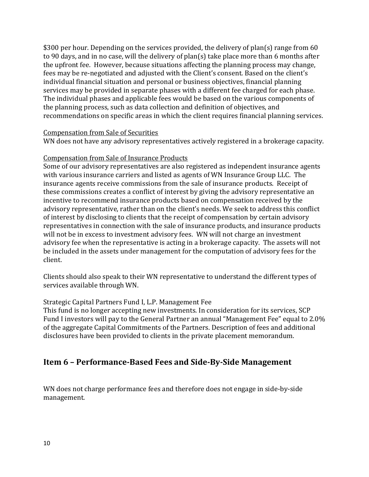\$300 per hour. Depending on the services provided, the delivery of plan(s) range from 60 to 90 days, and in no case, will the delivery of plan(s) take place more than 6 months after the upfront fee. However, because situations affecting the planning process may change, fees may be re-negotiated and adjusted with the Client's consent. Based on the client's individual financial situation and personal or business objectives, financial planning services may be provided in separate phases with a different fee charged for each phase. The individual phases and applicable fees would be based on the various components of the planning process, such as data collection and definition of objectives, and recommendations on specific areas in which the client requires financial planning services.

#### Compensation from Sale of Securities

WN does not have any advisory representatives actively registered in a brokerage capacity.

#### Compensation from Sale of Insurance Products

Some of our advisory representatives are also registered as independent insurance agents with various insurance carriers and listed as agents of WN Insurance Group LLC. The insurance agents receive commissions from the sale of insurance products. Receipt of these commissions creates a conflict of interest by giving the advisory representative an incentive to recommend insurance products based on compensation received by the advisory representative, rather than on the client's needs. We seek to address this conflict of interest by disclosing to clients that the receipt of compensation by certain advisory representatives in connection with the sale of insurance products, and insurance products will not be in excess to investment advisory fees. WN will not charge an investment advisory fee when the representative is acting in a brokerage capacity. The assets will not be included in the assets under management for the computation of advisory fees for the client.

Clients should also speak to their WN representative to understand the different types of services available through WN.

#### Strategic Capital Partners Fund I, L.P. Management Fee

This fund is no longer accepting new investments. In consideration for its services, SCP Fund I investors will pay to the General Partner an annual "Management Fee" equal to 2.0% of the aggregate Capital Commitments of the Partners. Description of fees and additional disclosures have been provided to clients in the private placement memorandum.

# <span id="page-9-0"></span>**Item 6 – Performance-Based Fees and Side-By-Side Management**

WN does not charge performance fees and therefore does not engage in side-by-side management.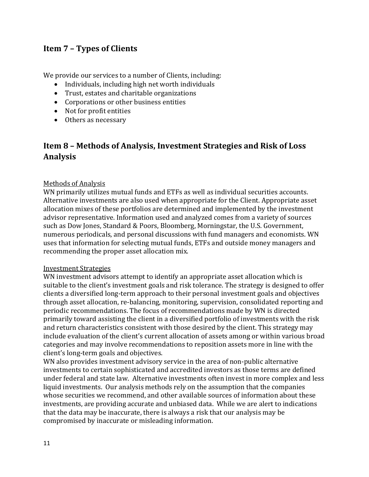# <span id="page-10-0"></span>**Item 7 – Types of Clients**

We provide our services to a number of Clients, including:

- Individuals, including high net worth individuals
- Trust, estates and charitable organizations
- Corporations or other business entities
- Not for profit entities
- Others as necessary

# <span id="page-10-1"></span>**Item 8 – Methods of Analysis, Investment Strategies and Risk of Loss Analysis**

#### Methods of Analysis

WN primarily utilizes mutual funds and ETFs as well as individual securities accounts. Alternative investments are also used when appropriate for the Client. Appropriate asset allocation mixes of these portfolios are determined and implemented by the investment advisor representative. Information used and analyzed comes from a variety of sources such as Dow Jones, Standard & Poors, Bloomberg, Morningstar, the U.S. Government, numerous periodicals, and personal discussions with fund managers and economists. WN uses that information for selecting mutual funds, ETFs and outside money managers and recommending the proper asset allocation mix.

#### Investment Strategies

WN investment advisors attempt to identify an appropriate asset allocation which is suitable to the client's investment goals and risk tolerance. The strategy is designed to offer clients a diversified long-term approach to their personal investment goals and objectives through asset allocation, re-balancing, monitoring, supervision, consolidated reporting and periodic recommendations. The focus of recommendations made by WN is directed primarily toward assisting the client in a diversified portfolio of investments with the risk and return characteristics consistent with those desired by the client. This strategy may include evaluation of the client's current allocation of assets among or within various broad categories and may involve recommendations to reposition assets more in line with the client's long-term goals and objectives.

WN also provides investment advisory service in the area of non-public alternative investments to certain sophisticated and accredited investors as those terms are defined under federal and state law. Alternative investments often invest in more complex and less liquid investments. Our analysis methods rely on the assumption that the companies whose securities we recommend, and other available sources of information about these investments, are providing accurate and unbiased data. While we are alert to indications that the data may be inaccurate, there is always a risk that our analysis may be compromised by inaccurate or misleading information.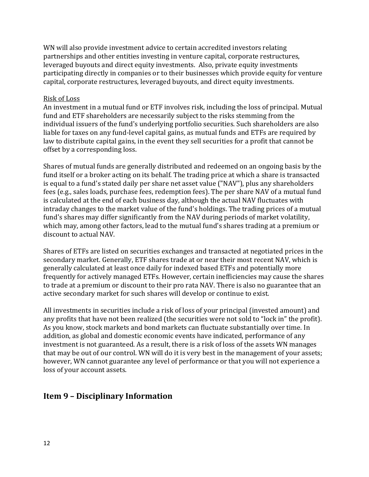WN will also provide investment advice to certain accredited investors relating partnerships and other entities investing in venture capital, corporate restructures, leveraged buyouts and direct equity investments. Also, private equity investments participating directly in companies or to their businesses which provide equity for venture capital, corporate restructures, leveraged buyouts, and direct equity investments.

#### Risk of Loss

An investment in a mutual fund or ETF involves risk, including the loss of principal. Mutual fund and ETF shareholders are necessarily subject to the risks stemming from the individual issuers of the fund's underlying portfolio securities. Such shareholders are also liable for taxes on any fund-level capital gains, as mutual funds and ETFs are required by law to distribute capital gains, in the event they sell securities for a profit that cannot be offset by a corresponding loss.

Shares of mutual funds are generally distributed and redeemed on an ongoing basis by the fund itself or a broker acting on its behalf. The trading price at which a share is transacted is equal to a fund's stated daily per share net asset value ("NAV"), plus any shareholders fees (e.g., sales loads, purchase fees, redemption fees). The per share NAV of a mutual fund is calculated at the end of each business day, although the actual NAV fluctuates with intraday changes to the market value of the fund's holdings. The trading prices of a mutual fund's shares may differ significantly from the NAV during periods of market volatility, which may, among other factors, lead to the mutual fund's shares trading at a premium or discount to actual NAV.

Shares of ETFs are listed on securities exchanges and transacted at negotiated prices in the secondary market. Generally, ETF shares trade at or near their most recent NAV, which is generally calculated at least once daily for indexed based ETFs and potentially more frequently for actively managed ETFs. However, certain inefficiencies may cause the shares to trade at a premium or discount to their pro rata NAV. There is also no guarantee that an active secondary market for such shares will develop or continue to exist.

All investments in securities include a risk of loss of your principal (invested amount) and any profits that have not been realized (the securities were not sold to "lock in" the profit). As you know, stock markets and bond markets can fluctuate substantially over time. In addition, as global and domestic economic events have indicated, performance of any investment is not guaranteed. As a result, there is a risk of loss of the assets WN manages that may be out of our control. WN will do it is very best in the management of your assets; however, WN cannot guarantee any level of performance or that you will not experience a loss of your account assets.

# <span id="page-11-0"></span>**Item 9 – Disciplinary Information**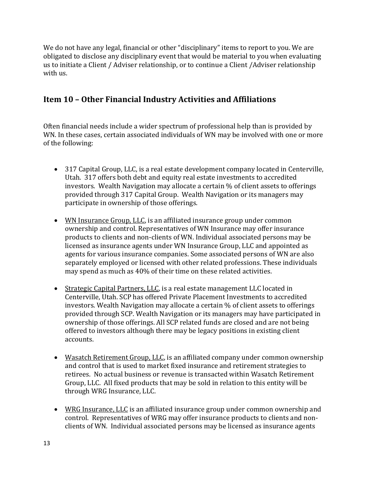We do not have any legal, financial or other "disciplinary" items to report to you. We are obligated to disclose any disciplinary event that would be material to you when evaluating us to initiate a Client / Adviser relationship, or to continue a Client /Adviser relationship with us.

# <span id="page-12-0"></span>**Item 10 – Other Financial Industry Activities and Affiliations**

Often financial needs include a wider spectrum of professional help than is provided by WN. In these cases, certain associated individuals of WN may be involved with one or more of the following:

- 317 Capital Group, LLC, is a real estate development company located in Centerville, Utah. 317 offers both debt and equity real estate investments to accredited investors. Wealth Navigation may allocate a certain % of client assets to offerings provided through 317 Capital Group. Wealth Navigation or its managers may participate in ownership of those offerings.
- WN Insurance Group, LLC, is an affiliated insurance group under common ownership and control. Representatives of WN Insurance may offer insurance products to clients and non-clients of WN. Individual associated persons may be licensed as insurance agents under WN Insurance Group, LLC and appointed as agents for various insurance companies. Some associated persons of WN are also separately employed or licensed with other related professions. These individuals may spend as much as 40% of their time on these related activities.
- Strategic Capital Partners, LLC, is a real estate management LLC located in Centerville, Utah. SCP has offered Private Placement Investments to accredited investors. Wealth Navigation may allocate a certain % of client assets to offerings provided through SCP. Wealth Navigation or its managers may have participated in ownership of those offerings. All SCP related funds are closed and are not being offered to investors although there may be legacy positions in existing client accounts.
- Wasatch Retirement Group, LLC, is an affiliated company under common ownership and control that is used to market fixed insurance and retirement strategies to retirees. No actual business or revenue is transacted within Wasatch Retirement Group, LLC. All fixed products that may be sold in relation to this entity will be through WRG Insurance, LLC.
- WRG Insurance, LLC is an affiliated insurance group under common ownership and control. Representatives of WRG may offer insurance products to clients and nonclients of WN. Individual associated persons may be licensed as insurance agents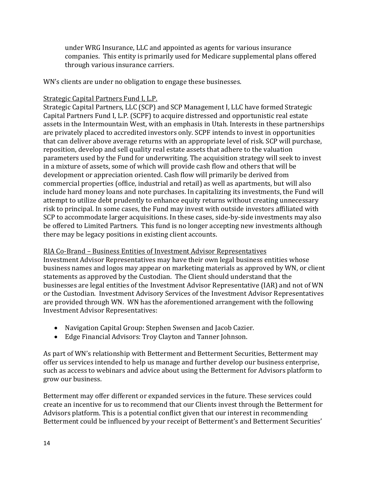under WRG Insurance, LLC and appointed as agents for various insurance companies. This entity is primarily used for Medicare supplemental plans offered through various insurance carriers.

WN's clients are under no obligation to engage these businesses.

#### Strategic Capital Partners Fund I, L.P.

Strategic Capital Partners, LLC (SCP) and SCP Management I, LLC have formed Strategic Capital Partners Fund I, L.P. (SCPF) to acquire distressed and opportunistic real estate assets in the Intermountain West, with an emphasis in Utah. Interests in these partnerships are privately placed to accredited investors only. SCPF intends to invest in opportunities that can deliver above average returns with an appropriate level of risk. SCP will purchase, reposition, develop and sell quality real estate assets that adhere to the valuation parameters used by the Fund for underwriting. The acquisition strategy will seek to invest in a mixture of assets, some of which will provide cash flow and others that will be development or appreciation oriented. Cash flow will primarily be derived from commercial properties (office, industrial and retail) as well as apartments, but will also include hard money loans and note purchases. In capitalizing its investments, the Fund will attempt to utilize debt prudently to enhance equity returns without creating unnecessary risk to principal. In some cases, the Fund may invest with outside investors affiliated with SCP to accommodate larger acquisitions. In these cases, side-by-side investments may also be offered to Limited Partners. This fund is no longer accepting new investments although there may be legacy positions in existing client accounts.

#### RIA Co-Brand – Business Entities of Investment Advisor Representatives

Investment Advisor Representatives may have their own legal business entities whose business names and logos may appear on marketing materials as approved by WN, or client statements as approved by the Custodian. The Client should understand that the businesses are legal entities of the Investment Advisor Representative (IAR) and not of WN or the Custodian. Investment Advisory Services of the Investment Advisor Representatives are provided through WN. WN has the aforementioned arrangement with the following Investment Advisor Representatives:

- Navigation Capital Group: Stephen Swensen and Jacob Cazier.
- Edge Financial Advisors: Troy Clayton and Tanner Johnson.

As part of WN's relationship with Betterment and Betterment Securities, Betterment may offer us services intended to help us manage and further develop our business enterprise, such as access to webinars and advice about using the Betterment for Advisors platform to grow our business.

Betterment may offer different or expanded services in the future. These services could create an incentive for us to recommend that our Clients invest through the Betterment for Advisors platform. This is a potential conflict given that our interest in recommending Betterment could be influenced by your receipt of Betterment's and Betterment Securities'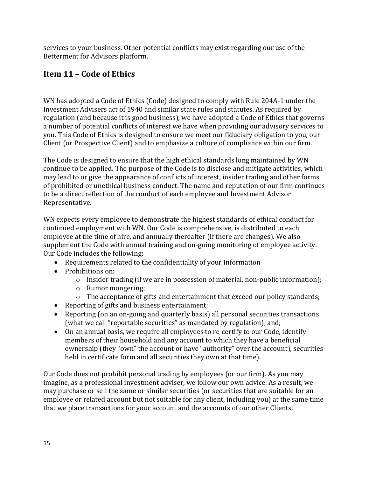services to your business. Other potential conflicts may exist regarding our use of the Betterment for Advisors platform.

# <span id="page-14-0"></span>**Item 11 – Code of Ethics**

WN has adopted a Code of Ethics (Code) designed to comply with Rule 204A-1 under the Investment Advisers act of 1940 and similar state rules and statutes. As required by regulation (and because it is good business), we have adopted a Code of Ethics that governs a number of potential conflicts of interest we have when providing our advisory services to you. This Code of Ethics is designed to ensure we meet our fiduciary obligation to you, our Client (or Prospective Client) and to emphasize a culture of compliance within our firm.

The Code is designed to ensure that the high ethical standards long maintained by WN continue to be applied. The purpose of the Code is to disclose and mitigate activities, which may lead to or give the appearance of conflicts of interest, insider trading and other forms of prohibited or unethical business conduct. The name and reputation of our firm continues to be a direct reflection of the conduct of each employee and Investment Advisor Representative.

WN expects every employee to demonstrate the highest standards of ethical conduct for continued employment with WN. Our Code is comprehensive, is distributed to each employee at the time of hire, and annually thereafter (if there are changes). We also supplement the Code with annual training and on-going monitoring of employee activity. Our Code includes the following:

- Requirements related to the confidentiality of your Information
- Prohibitions on:
	- $\circ$  Insider trading (if we are in possession of material, non-public information);
	- o Rumor mongering;
	- o The acceptance of gifts and entertainment that exceed our policy standards;
- Reporting of gifts and business entertainment;
- Reporting (on an on-going and quarterly basis) all personal securities transactions (what we call "reportable securities" as mandated by regulation); and,
- On an annual basis, we require all employees to re-certify to our Code, identify members of their household and any account to which they have a beneficial ownership (they "own" the account or have "authority" over the account), securities held in certificate form and all securities they own at that time).

Our Code does not prohibit personal trading by employees (or our firm). As you may imagine, as a professional investment adviser, we follow our own advice. As a result, we may purchase or sell the same or similar securities (or securities that are suitable for an employee or related account but not suitable for any client, including you) at the same time that we place transactions for your account and the accounts of our other Clients.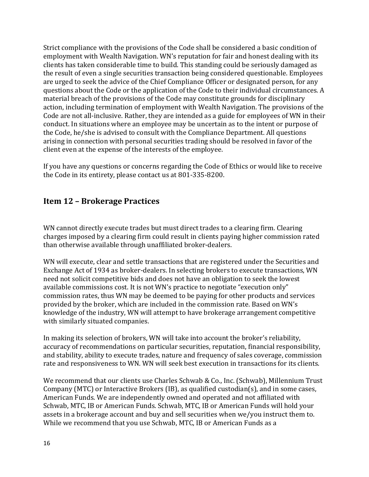Strict compliance with the provisions of the Code shall be considered a basic condition of employment with Wealth Navigation. WN's reputation for fair and honest dealing with its clients has taken considerable time to build. This standing could be seriously damaged as the result of even a single securities transaction being considered questionable. Employees are urged to seek the advice of the Chief Compliance Officer or designated person, for any questions about the Code or the application of the Code to their individual circumstances. A material breach of the provisions of the Code may constitute grounds for disciplinary action, including termination of employment with Wealth Navigation. The provisions of the Code are not all-inclusive. Rather, they are intended as a guide for employees of WN in their conduct. In situations where an employee may be uncertain as to the intent or purpose of the Code, he/she is advised to consult with the Compliance Department. All questions arising in connection with personal securities trading should be resolved in favor of the client even at the expense of the interests of the employee.

If you have any questions or concerns regarding the Code of Ethics or would like to receive the Code in its entirety, please contact us at 801-335-8200.

# <span id="page-15-0"></span>**Item 12 – Brokerage Practices**

WN cannot directly execute trades but must direct trades to a clearing firm. Clearing charges imposed by a clearing firm could result in clients paying higher commission rated than otherwise available through unaffiliated broker-dealers.

WN will execute, clear and settle transactions that are registered under the Securities and Exchange Act of 1934 as broker-dealers. In selecting brokers to execute transactions, WN need not solicit competitive bids and does not have an obligation to seek the lowest available commissions cost. It is not WN's practice to negotiate "execution only" commission rates, thus WN may be deemed to be paying for other products and services provided by the broker, which are included in the commission rate. Based on WN's knowledge of the industry, WN will attempt to have brokerage arrangement competitive with similarly situated companies.

In making its selection of brokers, WN will take into account the broker's reliability, accuracy of recommendations on particular securities, reputation, financial responsibility, and stability, ability to execute trades, nature and frequency of sales coverage, commission rate and responsiveness to WN. WN will seek best execution in transactions for its clients.

We recommend that our clients use Charles Schwab & Co., Inc. (Schwab), Millennium Trust Company (MTC) or Interactive Brokers (IB), as qualified custodian(s), and in some cases, American Funds. We are independently owned and operated and not affiliated with Schwab, MTC, IB or American Funds. Schwab, MTC, IB or American Funds will hold your assets in a brokerage account and buy and sell securities when we/you instruct them to. While we recommend that you use Schwab, MTC, IB or American Funds as a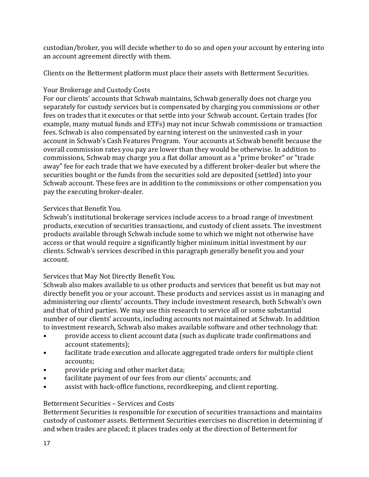custodian/broker, you will decide whether to do so and open your account by entering into an account agreement directly with them.

Clients on the Betterment platform must place their assets with Betterment Securities.

### Your Brokerage and Custody Costs

For our clients' accounts that Schwab maintains, Schwab generally does not charge you separately for custody services but is compensated by charging you commissions or other fees on trades that it executes or that settle into your Schwab account. Certain trades (for example, many mutual funds and ETFs) may not incur Schwab commissions or transaction fees. Schwab is also compensated by earning interest on the uninvested cash in your account in Schwab's Cash Features Program. Your accounts at Schwab benefit because the overall commission rates you pay are lower than they would be otherwise. In addition to commissions, Schwab may charge you a flat dollar amount as a "prime broker" or "trade away" fee for each trade that we have executed by a different broker-dealer but where the securities bought or the funds from the securities sold are deposited (settled) into your Schwab account. These fees are in addition to the commissions or other compensation you pay the executing broker-dealer.

# Services that Benefit You.

Schwab's institutional brokerage services include access to a broad range of investment products, execution of securities transactions, and custody of client assets. The investment products available through Schwab include some to which we might not otherwise have access or that would require a significantly higher minimum initial investment by our clients. Schwab's services described in this paragraph generally benefit you and your account.

# Services that May Not Directly Benefit You.

Schwab also makes available to us other products and services that benefit us but may not directly benefit you or your account. These products and services assist us in managing and administering our clients' accounts. They include investment research, both Schwab's own and that of third parties. We may use this research to service all or some substantial number of our clients' accounts, including accounts not maintained at Schwab. In addition to investment research, Schwab also makes available software and other technology that:

- provide access to client account data (such as duplicate trade confirmations and account statements);
- facilitate trade execution and allocate aggregated trade orders for multiple client accounts;
- provide pricing and other market data;
- facilitate payment of our fees from our clients' accounts; and<br>• assist with back-office functions recordkeening and client re
- assist with back-office functions, recordkeeping, and client reporting.

# Betterment Securities – Services and Costs

Betterment Securities is responsible for execution of securities transactions and maintains custody of customer assets. Betterment Securities exercises no discretion in determining if and when trades are placed; it places trades only at the direction of Betterment for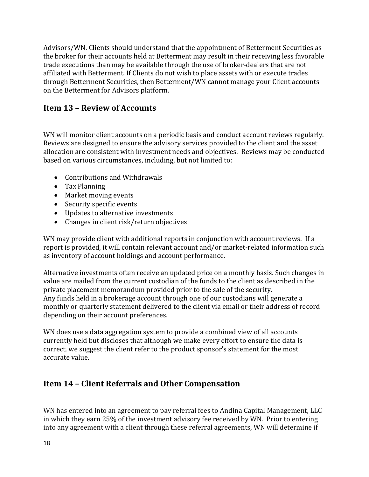Advisors/WN. Clients should understand that the appointment of Betterment Securities as the broker for their accounts held at Betterment may result in their receiving less favorable trade executions than may be available through the use of broker-dealers that are not affiliated with Betterment. If Clients do not wish to place assets with or execute trades through Betterment Securities, then Betterment/WN cannot manage your Client accounts on the Betterment for Advisors platform.

# <span id="page-17-0"></span>**Item 13 – Review of Accounts**

WN will monitor client accounts on a periodic basis and conduct account reviews regularly. Reviews are designed to ensure the advisory services provided to the client and the asset allocation are consistent with investment needs and objectives. Reviews may be conducted based on various circumstances, including, but not limited to:

- Contributions and Withdrawals
- Tax Planning
- Market moving events
- Security specific events
- Updates to alternative investments
- Changes in client risk/return objectives

WN may provide client with additional reports in conjunction with account reviews. If a report is provided, it will contain relevant account and/or market-related information such as inventory of account holdings and account performance.

Alternative investments often receive an updated price on a monthly basis. Such changes in value are mailed from the current custodian of the funds to the client as described in the private placement memorandum provided prior to the sale of the security. Any funds held in a brokerage account through one of our custodians will generate a monthly or quarterly statement delivered to the client via email or their address of record depending on their account preferences.

WN does use a data aggregation system to provide a combined view of all accounts currently held but discloses that although we make every effort to ensure the data is correct, we suggest the client refer to the product sponsor's statement for the most accurate value.

# <span id="page-17-1"></span>**Item 14 – Client Referrals and Other Compensation**

WN has entered into an agreement to pay referral fees to Andina Capital Management, LLC in which they earn 25% of the investment advisory fee received by WN. Prior to entering into any agreement with a client through these referral agreements, WN will determine if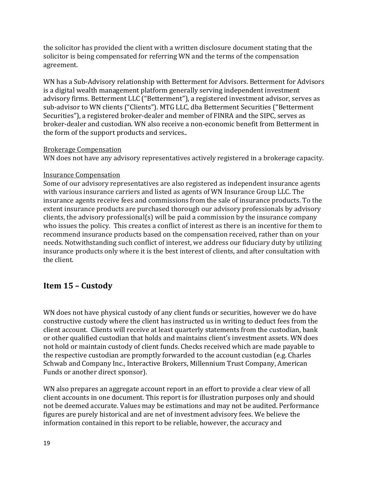the solicitor has provided the client with a written disclosure document stating that the solicitor is being compensated for referring WN and the terms of the compensation agreement.

WN has a Sub-Advisory relationship with Betterment for Advisors. Betterment for Advisors is a digital wealth management platform generally serving independent investment advisory firms. Betterment LLC ("Betterment"), a registered investment advisor, serves as sub-advisor to WN clients ("Clients"). MTG LLC, dba Betterment Securities ("Betterment Securities"), a registered broker-dealer and member of FINRA and the SIPC, serves as broker-dealer and custodian. WN also receive a non-economic benefit from Betterment in the form of the support products and services..

#### Brokerage Compensation

WN does not have any advisory representatives actively registered in a brokerage capacity.

#### Insurance Compensation

Some of our advisory representatives are also registered as independent insurance agents with various insurance carriers and listed as agents of WN Insurance Group LLC. The insurance agents receive fees and commissions from the sale of insurance products. To the extent insurance products are purchased thorough our advisory professionals by advisory clients, the advisory professional(s) will be paid a commission by the insurance company who issues the policy. This creates a conflict of interest as there is an incentive for them to recommend insurance products based on the compensation received, rather than on your needs. Notwithstanding such conflict of interest, we address our fiduciary duty by utilizing insurance products only where it is the best interest of clients, and after consultation with the client.

# <span id="page-18-0"></span>**Item 15 – Custody**

WN does not have physical custody of any client funds or securities, however we do have constructive custody where the client has instructed us in writing to deduct fees from the client account. Clients will receive at least quarterly statements from the custodian, bank or other qualified custodian that holds and maintains client's investment assets. WN does not hold or maintain custody of client funds. Checks received which are made payable to the respective custodian are promptly forwarded to the account custodian (e.g. Charles Schwab and Company Inc., Interactive Brokers, Millennium Trust Company, American Funds or another direct sponsor).

WN also prepares an aggregate account report in an effort to provide a clear view of all client accounts in one document. This report is for illustration purposes only and should not be deemed accurate. Values may be estimations and may not be audited. Performance figures are purely historical and are net of investment advisory fees. We believe the information contained in this report to be reliable, however, the accuracy and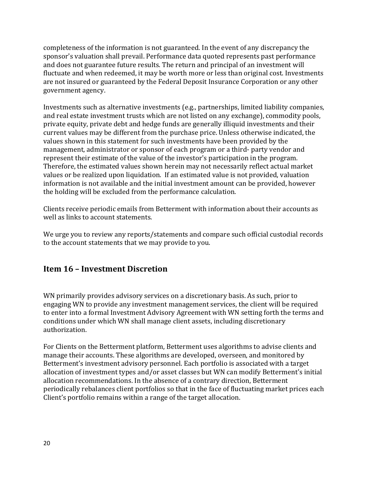completeness of the information is not guaranteed. In the event of any discrepancy the sponsor's valuation shall prevail. Performance data quoted represents past performance and does not guarantee future results. The return and principal of an investment will fluctuate and when redeemed, it may be worth more or less than original cost. Investments are not insured or guaranteed by the Federal Deposit Insurance Corporation or any other government agency.

Investments such as alternative investments (e.g., partnerships, limited liability companies, and real estate investment trusts which are not listed on any exchange), commodity pools, private equity, private debt and hedge funds are generally illiquid investments and their current values may be different from the purchase price. Unless otherwise indicated, the values shown in this statement for such investments have been provided by the management, administrator or sponsor of each program or a third- party vendor and represent their estimate of the value of the investor's participation in the program. Therefore, the estimated values shown herein may not necessarily reflect actual market values or be realized upon liquidation. If an estimated value is not provided, valuation information is not available and the initial investment amount can be provided, however the holding will be excluded from the performance calculation.

Clients receive periodic emails from Betterment with information about their accounts as well as links to account statements.

We urge you to review any reports/statements and compare such official custodial records to the account statements that we may provide to you.

# <span id="page-19-0"></span>**Item 16 – Investment Discretion**

WN primarily provides advisory services on a discretionary basis. As such, prior to engaging WN to provide any investment management services, the client will be required to enter into a formal Investment Advisory Agreement with WN setting forth the terms and conditions under which WN shall manage client assets, including discretionary authorization.

For Clients on the Betterment platform, Betterment uses algorithms to advise clients and manage their accounts. These algorithms are developed, overseen, and monitored by Betterment's investment advisory personnel. Each portfolio is associated with a target allocation of investment types and/or asset classes but WN can modify Betterment's initial allocation recommendations. In the absence of a contrary direction, Betterment periodically rebalances client portfolios so that in the face of fluctuating market prices each Client's portfolio remains within a range of the target allocation.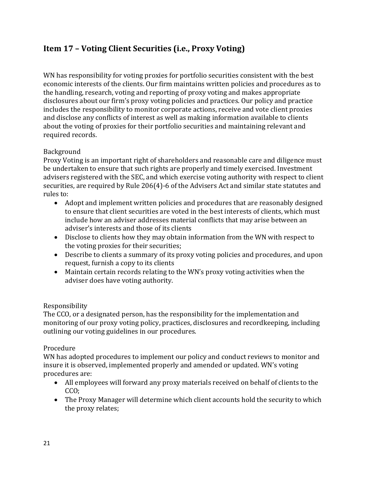# <span id="page-20-0"></span>**Item 17 – Voting Client Securities (i.e., Proxy Voting)**

WN has responsibility for voting proxies for portfolio securities consistent with the best economic interests of the clients. Our firm maintains written policies and procedures as to the handling, research, voting and reporting of proxy voting and makes appropriate disclosures about our firm's proxy voting policies and practices. Our policy and practice includes the responsibility to monitor corporate actions, receive and vote client proxies and disclose any conflicts of interest as well as making information available to clients about the voting of proxies for their portfolio securities and maintaining relevant and required records.

#### Background

Proxy Voting is an important right of shareholders and reasonable care and diligence must be undertaken to ensure that such rights are properly and timely exercised. Investment advisers registered with the SEC, and which exercise voting authority with respect to client securities, are required by Rule 206(4)-6 of the Advisers Act and similar state statutes and rules to:

- Adopt and implement written policies and procedures that are reasonably designed to ensure that client securities are voted in the best interests of clients, which must include how an adviser addresses material conflicts that may arise between an adviser's interests and those of its clients
- Disclose to clients how they may obtain information from the WN with respect to the voting proxies for their securities;
- Describe to clients a summary of its proxy voting policies and procedures, and upon request, furnish a copy to its clients
- Maintain certain records relating to the WN's proxy voting activities when the adviser does have voting authority.

#### Responsibility

The CCO, or a designated person, has the responsibility for the implementation and monitoring of our proxy voting policy, practices, disclosures and recordkeeping, including outlining our voting guidelines in our procedures.

#### Procedure

WN has adopted procedures to implement our policy and conduct reviews to monitor and insure it is observed, implemented properly and amended or updated. WN's voting procedures are:

- All employees will forward any proxy materials received on behalf of clients to the CCO;
- The Proxy Manager will determine which client accounts hold the security to which the proxy relates;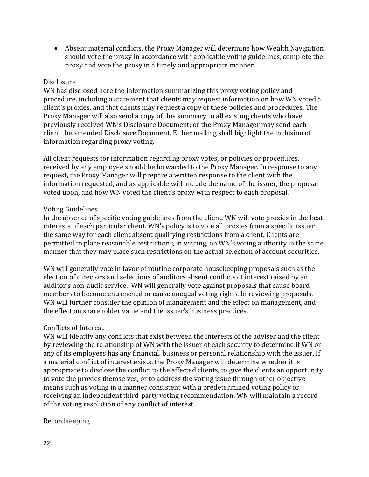• Absent material conflicts, the Proxy Manager will determine how Wealth Navigation should vote the proxy in accordance with applicable voting guidelines, complete the proxy and vote the proxy in a timely and appropriate manner.

#### Disclosure

WN has disclosed here the information summarizing this proxy voting policy and procedure, including a statement that clients may request information on how WN voted a client's proxies, and that clients may request a copy of these policies and procedures. The Proxy Manager will also send a copy of this summary to all existing clients who have previously received WN's Disclosure Document; or the Proxy Manager may send each client the amended Disclosure Document. Either mailing shall highlight the inclusion of information regarding proxy voting.

All client requests for information regarding proxy votes, or policies or procedures, received by any employee should be forwarded to the Proxy Manager. In response to any request, the Proxy Manager will prepare a written response to the client with the information requested, and as applicable will include the name of the issuer, the proposal voted upon, and how WN voted the client's proxy with respect to each proposal.

#### Voting Guidelines

In the absence of specific voting guidelines from the client, WN will vote proxies in the best interests of each particular client. WN's policy is to vote all proxies from a specific issuer the same way for each client absent qualifying restrictions from a client. Clients are permitted to place reasonable restrictions, in writing, on WN's voting authority in the same manner that they may place such restrictions on the actual selection of account securities.

WN will generally vote in favor of routine corporate housekeeping proposals such as the election of directors and selections of auditors absent conflicts of interest raised by an auditor's non-audit service. WN will generally vote against proposals that cause board members to become entrenched or cause unequal voting rights. In reviewing proposals, WN will further consider the opinion of management and the effect on management, and the effect on shareholder value and the issuer's business practices.

#### Conflicts of Interest

WN will identify any conflicts that exist between the interests of the adviser and the client by reviewing the relationship of WN with the issuer of each security to determine if WN or any of its employees has any financial, business or personal relationship with the issuer. If a material conflict of interest exists, the Proxy Manager will determine whether it is appropriate to disclose the conflict to the affected clients, to give the clients an opportunity to vote the proxies themselves, or to address the voting issue through other objective means such as voting in a manner consistent with a predetermined voting policy or receiving an independent third-party voting recommendation. WN will maintain a record of the voting resolution of any conflict of interest.

#### Recordkeeping